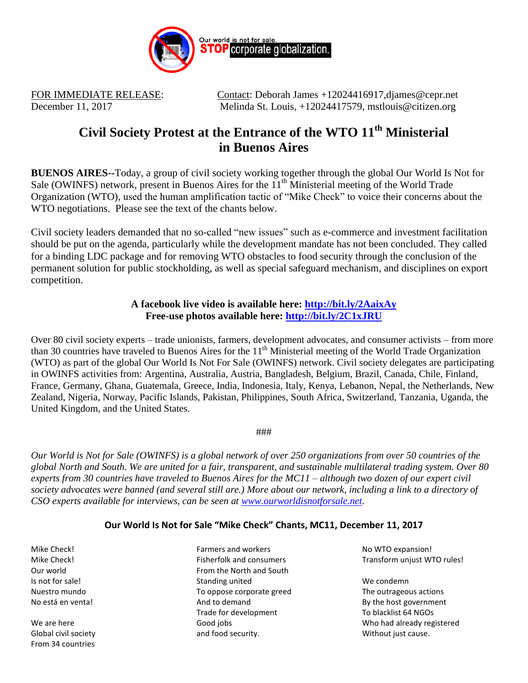

FOR IMMEDIATE RELEASE: Contact: Deborah James +12024416917, djames @cepr.net December 11, 2017 Melinda St. Louis, +12024417579, mstlouis@citizen.org

## **Civil Society Protest at the Entrance of the WTO 11th Ministerial in Buenos Aires**

**BUENOS AIRES--**Today, a group of civil society working together through the global Our World Is Not for Sale (OWINFS) network, present in Buenos Aires for the 11<sup>th</sup> Ministerial meeting of the World Trade Organization (WTO), used the human amplification tactic of "Mike Check" to voice their concerns about the WTO negotiations. Please see the text of the chants below.

Civil society leaders demanded that no so-called "new issues" such as e-commerce and investment facilitation should be put on the agenda, particularly while the development mandate has not been concluded. They called for a binding LDC package and for removing WTO obstacles to food security through the conclusion of the permanent solution for public stockholding, as well as special safeguard mechanism, and disciplines on export competition.

## **A facebook live video is available here: <http://bit.ly/2AaixAy> Free-use photos available here:<http://bit.ly/2C1xJRU>**

Over 80 civil society experts – trade unionists, farmers, development advocates, and consumer activists – from more than 30 countries have traveled to Buenos Aires for the  $11<sup>th</sup>$  Ministerial meeting of the World Trade Organization (WTO) as part of the global Our World Is Not For Sale (OWINFS) network. Civil society delegates are participating in OWINFS activities from: Argentina, Australia, Austria, Bangladesh, Belgium, Brazil, Canada, Chile, Finland, France, Germany, Ghana, Guatemala, Greece, India, Indonesia, Italy, Kenya, Lebanon, Nepal, the Netherlands, New Zealand, Nigeria, Norway, Pacific Islands, Pakistan, Philippines, South Africa, Switzerland, Tanzania, Uganda, the United Kingdom, and the United States.

###

*Our World is Not for Sale (OWINFS) is a global network of over 250 organizations from over 50 countries of the global North and South. We are united for a fair, transparent, and sustainable multilateral trading system. Over 80 experts from 30 countries have traveled to Buenos Aires for the MC11 – although two dozen of our expert civil*  society advocates were banned (and several still are.) More about our network, including a link to a directory of *CSO experts available for interviews, can be seen at [www.ourworldisnotforsale.net.](http://www.ourworldisnotforsale.net/)*

## **Our World Is Not for Sale "Mike Check" Chants, MC11, December 11, 2017**

Mike Check! Mike Check! Our world Is not for sale! Nuestro mundo No está en venta!

We are here Global civil society From 34 countries

Farmers and workers Fisherfolk and consumers From the North and South Standing united To oppose corporate greed And to demand Trade for development Good jobs and food security.

No WTO expansion! Transform unjust WTO rules!

We condemn The outrageous actions By the host government To blacklist 64 NGOs Who had already registered Without just cause.